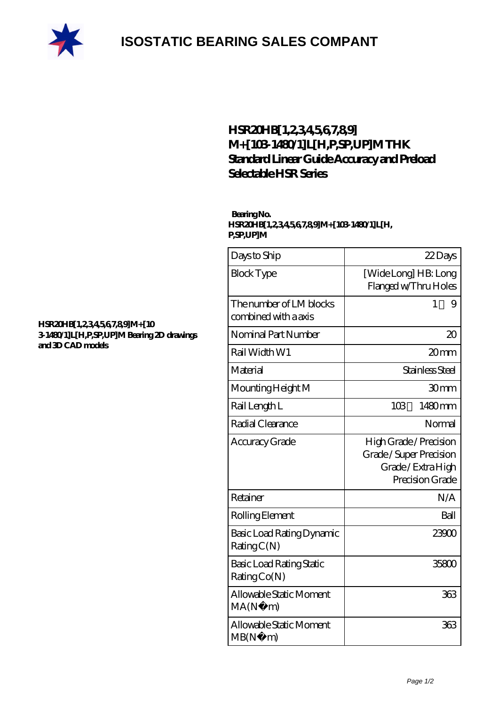

## **[ISOSTATIC BEARING SALES COMPANT](https://m.rebeccakeelingstudios.com)**

### **[HSR20HB\[1,2,3,4,5,6,7,8,9\]](https://m.rebeccakeelingstudios.com/curved-linear-guide/hsr20hb-1-2-3-4-5-6-7-8-9-m-103-1480-1-l-h-p-sp-up-m.html) [M+\[103-1480/1\]L\[H,P,SP,UP\]M THK](https://m.rebeccakeelingstudios.com/curved-linear-guide/hsr20hb-1-2-3-4-5-6-7-8-9-m-103-1480-1-l-h-p-sp-up-m.html) [Standard Linear Guide Accuracy and Preload](https://m.rebeccakeelingstudios.com/curved-linear-guide/hsr20hb-1-2-3-4-5-6-7-8-9-m-103-1480-1-l-h-p-sp-up-m.html) [Selectable HSR Series](https://m.rebeccakeelingstudios.com/curved-linear-guide/hsr20hb-1-2-3-4-5-6-7-8-9-m-103-1480-1-l-h-p-sp-up-m.html)**

#### **Bearing No. HSR20HB[1,2,3,4,5,6,7,8,9]M+[103-1480/1]L[H, P,SP,UP]M**

| Days to Ship                                    | 22Days                                                                                 |
|-------------------------------------------------|----------------------------------------------------------------------------------------|
| <b>Block Type</b>                               | [Wide Long] HB: Long<br>Flanged w/Thru Holes                                           |
| The number of LM blocks<br>combined with a axis | 1<br>9                                                                                 |
| Nominal Part Number                             | $\infty$                                                                               |
| Rail Width W1                                   | 20mm                                                                                   |
| Material                                        | Stainless Steel                                                                        |
| Mounting Height M                               | 30mm                                                                                   |
| Rail Length L                                   | 103<br>1480mm                                                                          |
| Radial Clearance                                | Normal                                                                                 |
| Accuracy Grade                                  | High Grade / Precision<br>Grade/Super Precision<br>Grade/Extra High<br>Precision Grade |
| Retainer                                        | N/A                                                                                    |
| Rolling Element                                 | Ball                                                                                   |
| Basic Load Rating Dynamic<br>RatingC(N)         | 23900                                                                                  |
| Basic Load Rating Static<br>RatingCo(N)         | 35800                                                                                  |
| Allowable Static Moment<br>MA(N)<br>m)          | 363                                                                                    |
| Allowable Static Moment<br>MB(N)<br>m)          | 363                                                                                    |

#### **[HSR20HB\[1,2,3,4,5,6,7,8,9\]M+\[10](https://m.rebeccakeelingstudios.com/pic-659149.html) [3-1480/1\]L\[H,P,SP,UP\]M Bearing 2D drawings](https://m.rebeccakeelingstudios.com/pic-659149.html) [and 3D CAD models](https://m.rebeccakeelingstudios.com/pic-659149.html)**